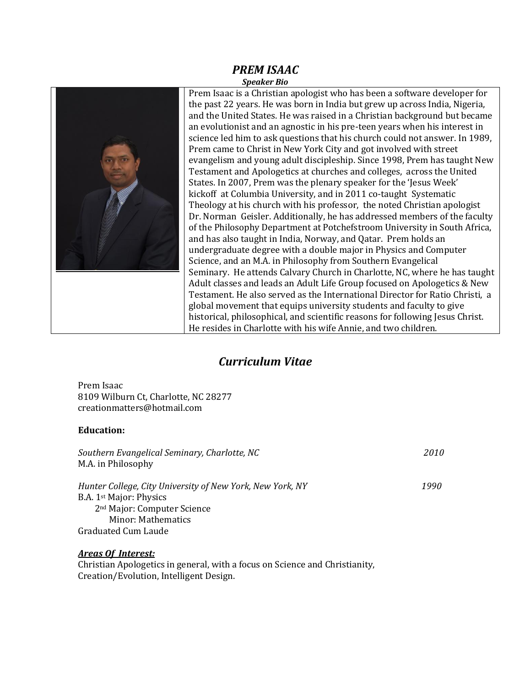### *PREM ISAAC Speaker Bio*



Prem Isaac is a Christian apologist who has been a software developer for the past 22 years. He was born in India but grew up across India, Nigeria, and the United States. He was raised in a Christian background but became an evolutionist and an agnostic in his pre-teen years when his interest in science led him to ask questions that his church could not answer. In 1989, Prem came to Christ in New York City and got involved with street evangelism and young adult discipleship. Since 1998, Prem has taught New Testament and Apologetics at churches and colleges, across the United States. In 2007, Prem was the plenary speaker for the 'Jesus Week' kickoff at Columbia University, and in 2011 co-taught Systematic Theology at his church with his professor, the noted Christian apologist Dr. Norman Geisler. Additionally, he has addressed members of the faculty of the Philosophy Department at Potchefstroom University in South Africa, and has also taught in India, Norway, and Qatar. Prem holds an undergraduate degree with a double major in Physics and Computer Science, and an M.A. in Philosophy from Southern Evangelical Seminary. He attends Calvary Church in Charlotte, NC, where he has taught Adult classes and leads an Adult Life Group focused on Apologetics & New Testament. He also served as the International Director for Ratio Christi, a global movement that equips university students and faculty to give historical, philosophical, and scientific reasons for following Jesus Christ. He resides in Charlotte with his wife Annie, and two children.

# *Curriculum Vitae*

Prem Isaac 8109 Wilburn Ct, Charlotte, NC 28277 creationmatters@hotmail.com

# **Education:**

| Southern Evangelical Seminary, Charlotte, NC              | 2010 |
|-----------------------------------------------------------|------|
| M.A. in Philosophy                                        |      |
| Hunter College, City University of New York, New York, NY | 1990 |
| B.A. 1 <sup>st</sup> Major: Physics                       |      |
| 2 <sup>nd</sup> Major: Computer Science                   |      |
| Minor: Mathematics                                        |      |
| Graduated Cum Laude                                       |      |

# *Areas Of Interest:*

Christian Apologetics in general, with a focus on Science and Christianity, Creation/Evolution, Intelligent Design.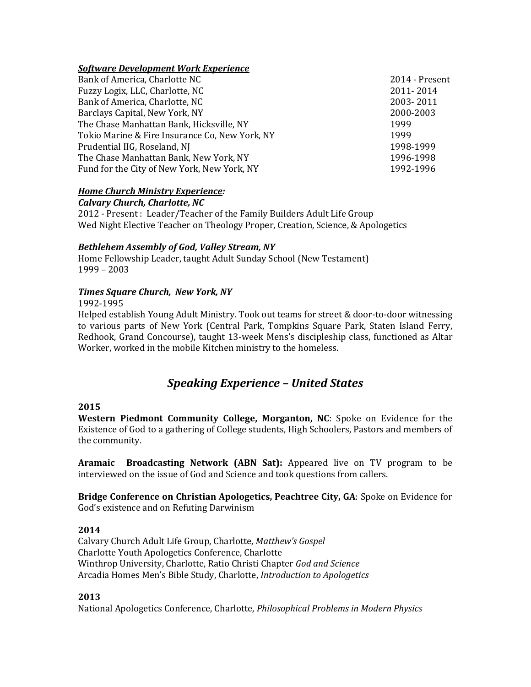# *Software Development Work Experience*

| Bank of America, Charlotte NC                  | 2014 - Present |
|------------------------------------------------|----------------|
| Fuzzy Logix, LLC, Charlotte, NC                | 2011-2014      |
| Bank of America, Charlotte, NC                 | 2003-2011      |
| Barclays Capital, New York, NY                 | 2000-2003      |
| The Chase Manhattan Bank, Hicksville, NY       | 1999           |
| Tokio Marine & Fire Insurance Co, New York, NY | 1999           |
| Prudential IIG, Roseland, NJ                   | 1998-1999      |
| The Chase Manhattan Bank, New York, NY         | 1996-1998      |
| Fund for the City of New York, New York, NY    | 1992-1996      |
|                                                |                |

## *Home Church Ministry Experience:*

*Calvary Church, Charlotte, NC*

2012 - Present : Leader/Teacher of the Family Builders Adult Life Group Wed Night Elective Teacher on Theology Proper, Creation, Science, & Apologetics

#### *Bethlehem Assembly of God, Valley Stream, NY*

Home Fellowship Leader, taught Adult Sunday School (New Testament) 1999 – 2003

## *Times Square Church, New York, NY*

1992-1995

Helped establish Young Adult Ministry. Took out teams for street & door-to-door witnessing to various parts of New York (Central Park, Tompkins Square Park, Staten Island Ferry, Redhook, Grand Concourse), taught 13-week Mens's discipleship class, functioned as Altar Worker, worked in the mobile Kitchen ministry to the homeless.

# *Speaking Experience – United States*

### **2015**

**Western Piedmont Community College, Morganton, NC**: Spoke on Evidence for the Existence of God to a gathering of College students, High Schoolers, Pastors and members of the community.

**Aramaic Broadcasting Network (ABN Sat):** Appeared live on TV program to be interviewed on the issue of God and Science and took questions from callers.

**Bridge Conference on Christian Apologetics, Peachtree City, GA**: Spoke on Evidence for God's existence and on Refuting Darwinism

#### **2014**

Calvary Church Adult Life Group, Charlotte, *Matthew's Gospel* Charlotte Youth Apologetics Conference, Charlotte Winthrop University, Charlotte, Ratio Christi Chapter *God and Science* Arcadia Homes Men's Bible Study, Charlotte, *Introduction to Apologetics*

# **2013**

National Apologetics Conference, Charlotte, *Philosophical Problems in Modern Physics*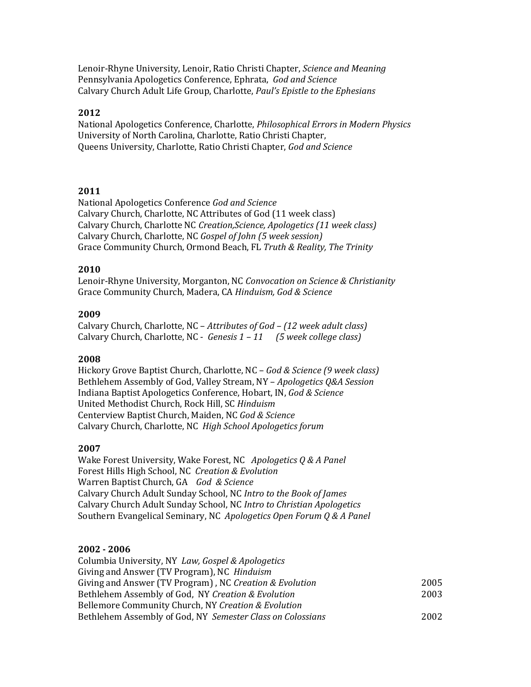Lenoir-Rhyne University, Lenoir, Ratio Christi Chapter, *Science and Meaning* Pennsylvania Apologetics Conference, Ephrata, *God and Science* Calvary Church Adult Life Group, Charlotte, *Paul's Epistle to the Ephesians*

### **2012**

National Apologetics Conference, Charlotte, *Philosophical Errors in Modern Physics* University of North Carolina, Charlotte, Ratio Christi Chapter, Queens University, Charlotte, Ratio Christi Chapter, *God and Science*

## **2011**

National Apologetics Conference *God and Science* Calvary Church, Charlotte, NC Attributes of God (11 week class) Calvary Church, Charlotte NC *Creation,Science, Apologetics (11 week class)*  Calvary Church, Charlotte, NC *Gospel of John (5 week session)* Grace Community Church, Ormond Beach, FL *Truth & Reality, The Trinity*

## **2010**

Lenoir-Rhyne University, Morganton, NC *Convocation on Science & Christianity*  Grace Community Church, Madera, CA *Hinduism, God & Science*

## **2009**

Calvary Church, Charlotte, NC – *Attributes of God – (12 week adult class)* Calvary Church, Charlotte, NC - *Genesis 1 – 11 (5 week college class)*

#### **2008**

Hickory Grove Baptist Church, Charlotte, NC – *God & Science (9 week class)*  Bethlehem Assembly of God, Valley Stream, NY – *Apologetics Q&A Session* Indiana Baptist Apologetics Conference, Hobart, IN, *God & Science* United Methodist Church, Rock Hill, SC *Hinduism* Centerview Baptist Church, Maiden, NC *God & Science* Calvary Church, Charlotte, NC *High School Apologetics forum*

#### **2007**

Wake Forest University, Wake Forest, NC *Apologetics Q & A Panel* Forest Hills High School, NC *Creation & Evolution* Warren Baptist Church, GA *God & Science* Calvary Church Adult Sunday School, NC *Intro to the Book of James* Calvary Church Adult Sunday School, NC *Intro to Christian Apologetics* Southern Evangelical Seminary, NC *Apologetics Open Forum Q & A Panel*

# **2002 - 2006**

| 2005 |
|------|
| 2003 |
|      |
| 2002 |
|      |